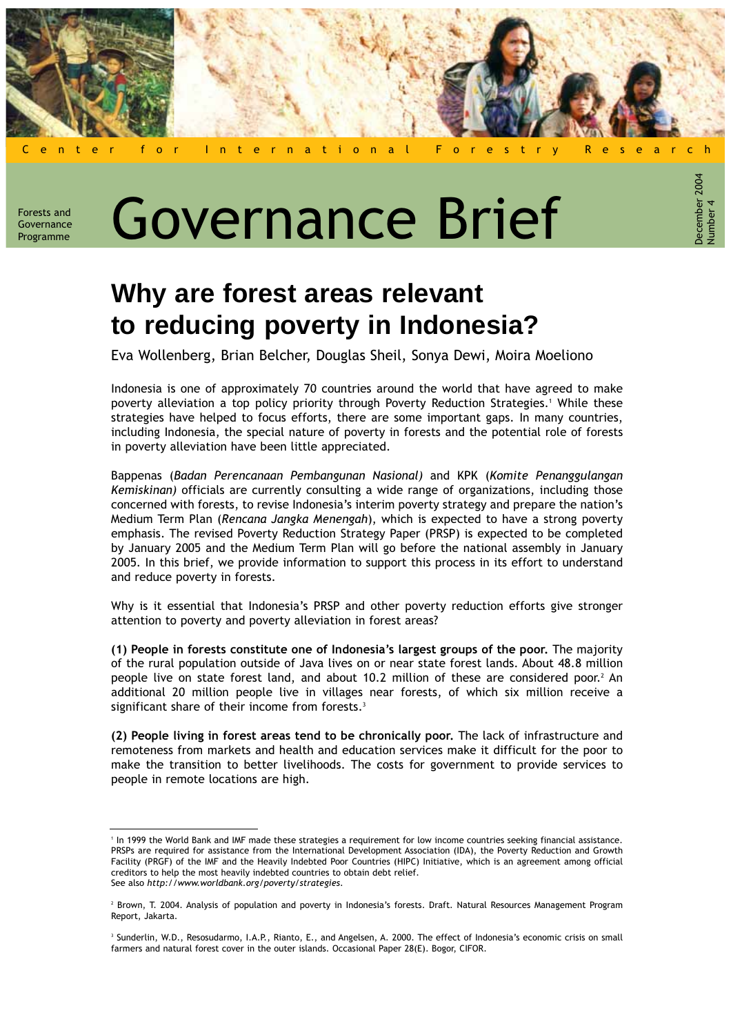

ecember 2004

Forests and Governance

# Forests and **Governance Governance** Brief

## **Why are forest areas relevant to reducing poverty in Indonesia?**

Eva Wollenberg, Brian Belcher, Douglas Sheil, Sonya Dewi, Moira Moeliono

Indonesia is one of approximately 70 countries around the world that have agreed to make poverty alleviation a top policy priority through Poverty Reduction Strategies.1 While these strategies have helped to focus efforts, there are some important gaps. In many countries, including Indonesia, the special nature of poverty in forests and the potential role of forests in poverty alleviation have been little appreciated.

Bappenas (Badan Perencanaan Pembangunan Nasional) and KPK (Komite Penanggulangan Kemiskinan) officials are currently consulting a wide range of organizations, including those concerned with forests, to revise Indonesia's interim poverty strategy and prepare the nation's Medium Term Plan (Rencana Jangka Menengah), which is expected to have a strong poverty emphasis. The revised Poverty Reduction Strategy Paper (PRSP) is expected to be completed by January 2005 and the Medium Term Plan will go before the national assembly in January 2005. In this brief, we provide information to support this process in its effort to understand and reduce poverty in forests.

Why is it essential that Indonesia's PRSP and other poverty reduction efforts give stronger attention to poverty and poverty alleviation in forest areas?

(1) People in forests constitute one of Indonesia's largest groups of the poor. The majority of the rural population outside of Java lives on or near state forest lands. About 48.8 million people live on state forest land, and about 10.2 million of these are considered poor.<sup>2</sup> An additional 20 million people live in villages near forests, of which six million receive a significant share of their income from forests.<sup>3</sup>

(2) People living in forest areas tend to be chronically poor. The lack of infrastructure and remoteness from markets and health and education services make it difficult for the poor to make the transition to better livelihoods. The costs for government to provide services to people in remote locations are high.

<sup>1</sup> In 1999 the World Bank and IMF made these strategies a requirement for low income countries seeking financial assistance. PRSPs are required for assistance from the International Development Association (IDA), the Poverty Reduction and Growth Facility (PRGF) of the IMF and the Heavily Indebted Poor Countries (HIPC) Initiative, which is an agreement among official creditors to help the most heavily indebted countries to obtain debt relief. See also http://www.worldbank.org/poverty/strategies.

<sup>&</sup>lt;sup>2</sup> Brown, T. 2004. Analysis of population and poverty in Indonesia's forests. Draft. Natural Resources Management Program Report, Jakarta.

<sup>&</sup>lt;sup>3</sup> Sunderlin, W.D., Resosudarmo, I.A.P., Rianto, E., and Angelsen, A. 2000. The effect of Indonesia's economic crisis on small farmers and natural forest cover in the outer islands. Occasional Paper 28(E). Bogor, CIFOR.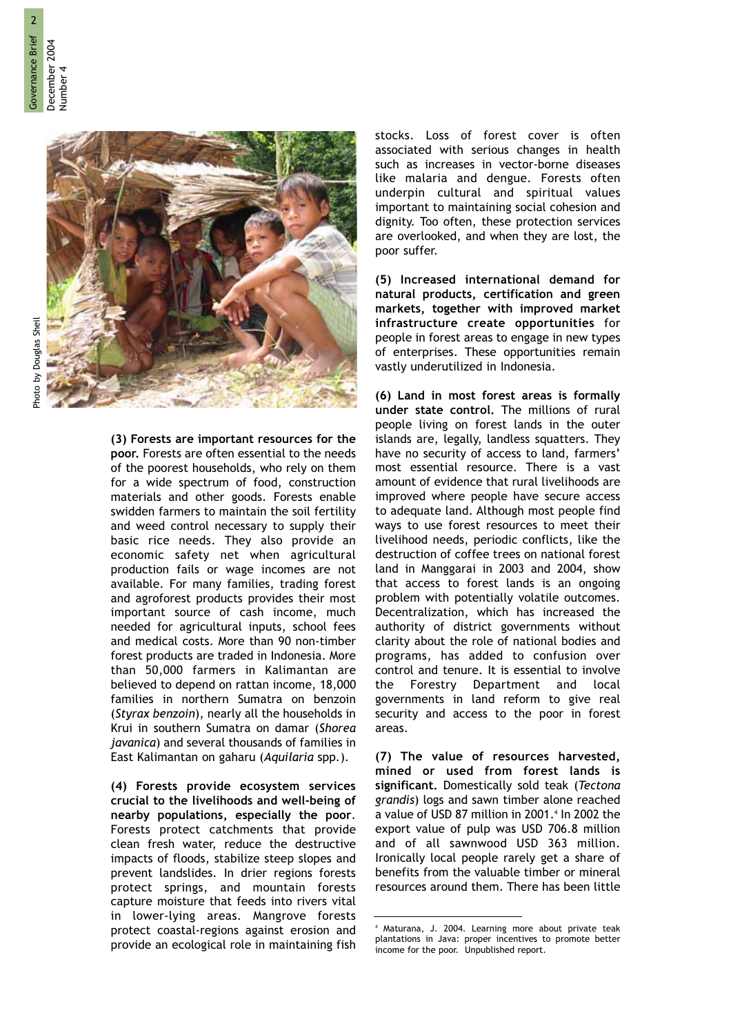

(3) Forests are important resources for the poor. Forests are often essential to the needs of the poorest households, who rely on them for a wide spectrum of food, construction materials and other goods. Forests enable swidden farmers to maintain the soil fertility and weed control necessary to supply their basic rice needs. They also provide an economic safety net when agricultural production fails or wage incomes are not available. For many families, trading forest and agroforest products provides their most important source of cash income, much needed for agricultural inputs, school fees and medical costs. More than 90 non-timber forest products are traded in Indonesia. More than 50,000 farmers in Kalimantan are believed to depend on rattan income, 18,000 families in northern Sumatra on benzoin (Styrax benzoin), nearly all the households in Krui in southern Sumatra on damar (Shorea javanica) and several thousands of families in East Kalimantan on gaharu (Aquilaria spp.).

(4) Forests provide ecosystem services crucial to the livelihoods and well-being of nearby populations, especially the poor. Forests protect catchments that provide clean fresh water, reduce the destructive impacts of floods, stabilize steep slopes and prevent landslides. In drier regions forests protect springs, and mountain forests capture moisture that feeds into rivers vital in lower-lying areas. Mangrove forests protect coastal-regions against erosion and provide an ecological role in maintaining fish stocks. Loss of forest cover is often associated with serious changes in health such as increases in vector-borne diseases like malaria and dengue. Forests often underpin cultural and spiritual values important to maintaining social cohesion and dignity. Too often, these protection services are overlooked, and when they are lost, the poor suffer.

(5) Increased international demand for natural products, certification and green markets, together with improved market infrastructure create opportunities for people in forest areas to engage in new types of enterprises. These opportunities remain vastly underutilized in Indonesia.

(6) Land in most forest areas is formally under state control. The millions of rural people living on forest lands in the outer islands are, legally, landless squatters. They have no security of access to land, farmers' most essential resource. There is a vast amount of evidence that rural livelihoods are improved where people have secure access to adequate land. Although most people find ways to use forest resources to meet their livelihood needs, periodic conflicts, like the destruction of coffee trees on national forest land in Manggarai in 2003 and 2004, show that access to forest lands is an ongoing problem with potentially volatile outcomes. Decentralization, which has increased the authority of district governments without clarity about the role of national bodies and programs, has added to confusion over control and tenure. It is essential to involve the Forestry Department and local governments in land reform to give real security and access to the poor in forest areas.

(7) The value of resources harvested, mined or used from forest lands is significant. Domestically sold teak (Tectona grandis) logs and sawn timber alone reached a value of USD 87 million in 2001.<sup>4</sup> In 2002 the export value of pulp was USD 706.8 million and of all sawnwood USD 363 million. Ironically local people rarely get a share of benefits from the valuable timber or mineral resources around them. There has been little

<sup>4</sup> Maturana, J. 2004. Learning more about private teak plantations in Java: proper incentives to promote better income for the poor. Unpublished report.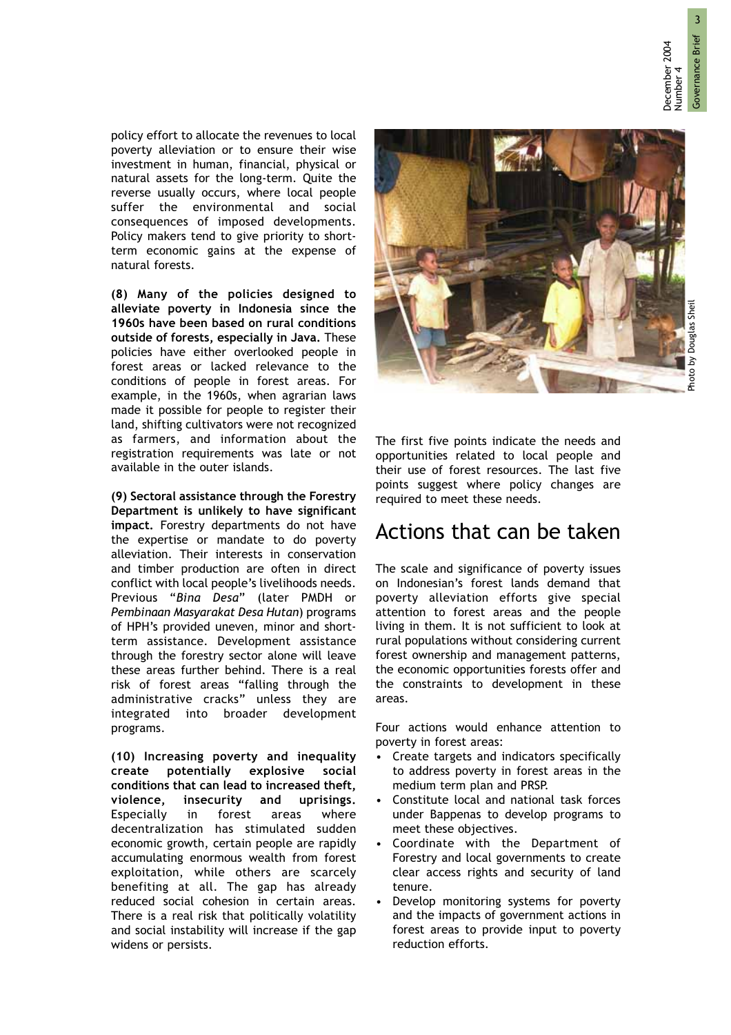December 2004

December 2004

policy effort to allocate the revenues to local poverty alleviation or to ensure their wise investment in human, financial, physical or natural assets for the long-term. Quite the reverse usually occurs, where local people suffer the environmental and social consequences of imposed developments. Policy makers tend to give priority to shortterm economic gains at the expense of natural forests.

(8) Many of the policies designed to alleviate poverty in Indonesia since the 1960s have been based on rural conditions outside of forests, especially in Java. These policies have either overlooked people in forest areas or lacked relevance to the conditions of people in forest areas. For example, in the 1960s, when agrarian laws made it possible for people to register their land, shifting cultivators were not recognized as farmers, and information about the registration requirements was late or not available in the outer islands.

(9) Sectoral assistance through the Forestry Department is unlikely to have significant impact. Forestry departments do not have the expertise or mandate to do poverty alleviation. Their interests in conservation and timber production are often in direct conflict with local people's livelihoods needs. Previous "Bina Desa" (later PMDH or Pembinaan Masyarakat Desa Hutan) programs of HPH's provided uneven, minor and shortterm assistance. Development assistance through the forestry sector alone will leave these areas further behind. There is a real risk of forest areas "falling through the administrative cracks" unless they are integrated into broader development programs.

(10) Increasing poverty and inequality create potentially explosive social conditions that can lead to increased theft, violence, insecurity and uprisings. Especially in forest areas where decentralization has stimulated sudden economic growth, certain people are rapidly accumulating enormous wealth from forest exploitation, while others are scarcely benefiting at all. The gap has already reduced social cohesion in certain areas. There is a real risk that politically volatility and social instability will increase if the gap widens or persists.



The first five points indicate the needs and opportunities related to local people and their use of forest resources. The last five points suggest where policy changes are required to meet these needs.

### Actions that can be taken

The scale and significance of poverty issues on Indonesian's forest lands demand that poverty alleviation efforts give special attention to forest areas and the people living in them. It is not sufficient to look at rural populations without considering current forest ownership and management patterns, the economic opportunities forests offer and the constraints to development in these areas.

Four actions would enhance attention to poverty in forest areas:

- Create targets and indicators specifically to address poverty in forest areas in the medium term plan and PRSP.
- Constitute local and national task forces under Bappenas to develop programs to meet these objectives.
- Coordinate with the Department of Forestry and local governments to create clear access rights and security of land tenure.
- Develop monitoring systems for poverty and the impacts of government actions in forest areas to provide input to poverty reduction efforts.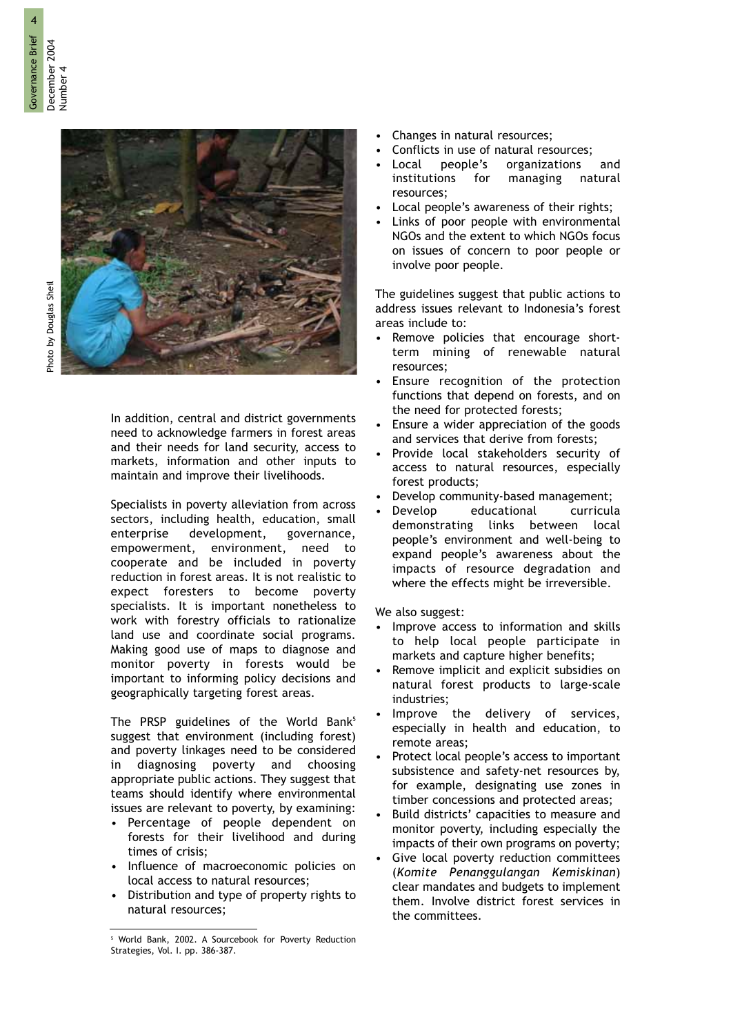

In addition, central and district governments need to acknowledge farmers in forest areas and their needs for land security, access to markets, information and other inputs to maintain and improve their livelihoods.

Specialists in poverty alleviation from across sectors, including health, education, small enterprise development, governance, empowerment, environment, need to cooperate and be included in poverty reduction in forest areas. It is not realistic to expect foresters to become poverty specialists. It is important nonetheless to work with forestry officials to rationalize land use and coordinate social programs. Making good use of maps to diagnose and monitor poverty in forests would be important to informing policy decisions and geographically targeting forest areas.

The PRSP guidelines of the World Bank<sup>5</sup> suggest that environment (including forest) and poverty linkages need to be considered in diagnosing poverty and choosing appropriate public actions. They suggest that teams should identify where environmental issues are relevant to poverty, by examining:

- Percentage of people dependent on forests for their livelihood and during times of crisis;
- Influence of macroeconomic policies on local access to natural resources;
- Distribution and type of property rights to natural resources;
- Changes in natural resources;
- Conflicts in use of natural resources;
- Local people's organizations and institutions for managing natural resources;
- Local people's awareness of their rights;
- Links of poor people with environmental NGOs and the extent to which NGOs focus on issues of concern to poor people or involve poor people.

The guidelines suggest that public actions to address issues relevant to Indonesia's forest areas include to:

- Remove policies that encourage shortterm mining of renewable natural resources;
- Ensure recognition of the protection functions that depend on forests, and on the need for protected forests;
- Ensure a wider appreciation of the goods and services that derive from forests;
- Provide local stakeholders security of access to natural resources, especially forest products;
- Develop community-based management;
- Develop educational curricula demonstrating links between local people's environment and well-being to expand people's awareness about the impacts of resource degradation and where the effects might be irreversible.

We also suggest:

- Improve access to information and skills to help local people participate in markets and capture higher benefits;
- Remove implicit and explicit subsidies on natural forest products to large-scale industries;
- Improve the delivery of services, especially in health and education, to remote areas;
- Protect local people's access to important subsistence and safety-net resources by, for example, designating use zones in timber concessions and protected areas;
- Build districts' capacities to measure and monitor poverty, including especially the impacts of their own programs on poverty;
- Give local poverty reduction committees (Komite Penanggulangan Kemiskinan) clear mandates and budgets to implement them. Involve district forest services in the committees.

<sup>&</sup>lt;sup>5</sup> World Bank, 2002. A Sourcebook for Poverty Reduction Strategies, Vol. I. pp. 386-387.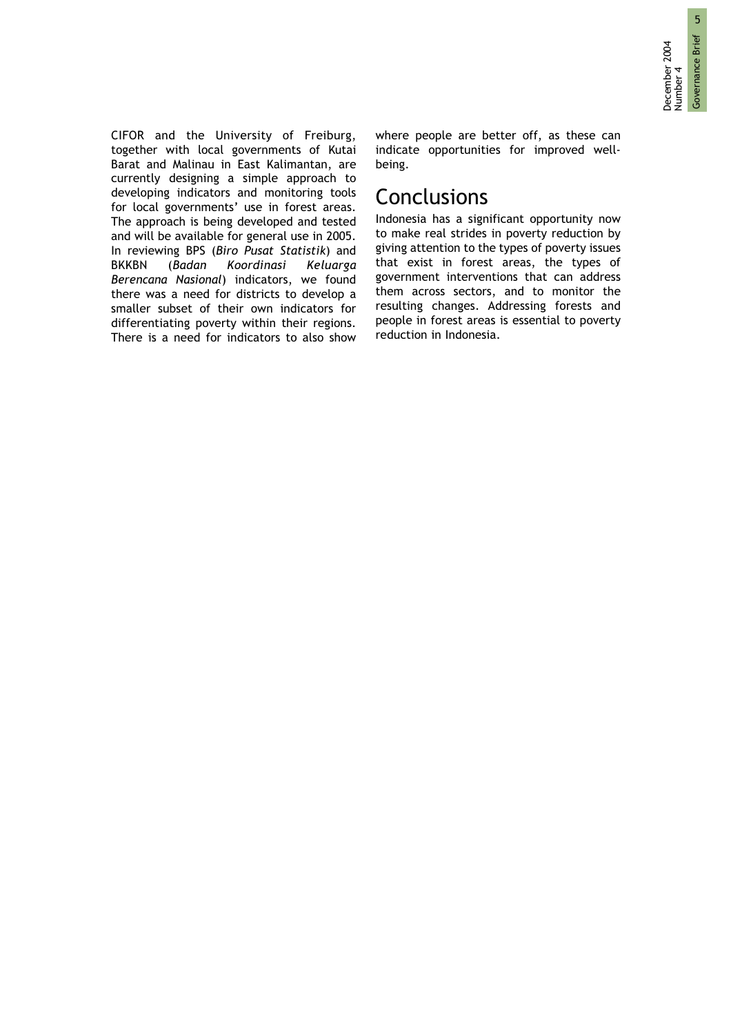CIFOR and the University of Freiburg, together with local governments of Kutai Barat and Malinau in East Kalimantan, are currently designing a simple approach to developing indicators and monitoring tools for local governments' use in forest areas. The approach is being developed and tested and will be available for general use in 2005. In reviewing BPS (Biro Pusat Statistik) and BKKBN (Badan Koordinasi Keluarga Berencana Nasional) indicators, we found there was a need for districts to develop a smaller subset of their own indicators for differentiating poverty within their regions. There is a need for indicators to also show where people are better off, as these can indicate opportunities for improved wellbeing.

#### **Conclusions**

Indonesia has a significant opportunity now to make real strides in poverty reduction by giving attention to the types of poverty issues that exist in forest areas, the types of government interventions that can address them across sectors, and to monitor the resulting changes. Addressing forests and people in forest areas is essential to poverty reduction in Indonesia.